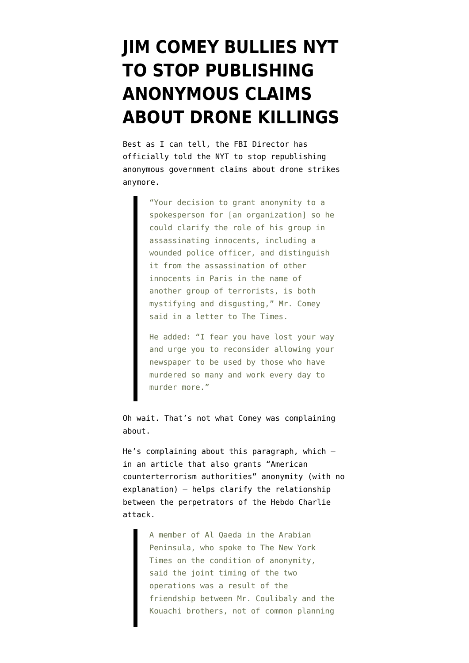## **[JIM COMEY BULLIES NYT](https://www.emptywheel.net/2015/01/16/jim-comey-bullies-nyt-to-stop-publishing-anonymous-claims-about-drone-killings/) [TO STOP PUBLISHING](https://www.emptywheel.net/2015/01/16/jim-comey-bullies-nyt-to-stop-publishing-anonymous-claims-about-drone-killings/) [ANONYMOUS CLAIMS](https://www.emptywheel.net/2015/01/16/jim-comey-bullies-nyt-to-stop-publishing-anonymous-claims-about-drone-killings/) [ABOUT DRONE KILLINGS](https://www.emptywheel.net/2015/01/16/jim-comey-bullies-nyt-to-stop-publishing-anonymous-claims-about-drone-killings/)**

Best as I can tell, the FBI Director has [officially told](http://www.nytimes.com/2015/01/16/us/fbi-chief-criticizes-times-on-qaeda-source.html?ref=world&_r=0) the NYT to stop republishing anonymous government claims about drone strikes anymore.

> "Your decision to grant anonymity to a spokesperson for [an organization] so he could clarify the role of his group in assassinating innocents, including a wounded police officer, and distinguish it from the assassination of other innocents in Paris in the name of another group of terrorists, is both mystifying and disgusting," Mr. Comey said in a letter to The Times.

> He added: "I fear you have lost your way and urge you to reconsider allowing your newspaper to be used by those who have murdered so many and work every day to murder more."

Oh wait. That's not what Comey was complaining about.

He's complaining about this paragraph, which in [an article](http://www.nytimes.com/2015/01/15/world/europe/al-qaeda-in-the-arabian-peninsula-charlie-hebdo.html&assetType=nyt_now&_r=0) that also grants "American counterterrorism authorities" anonymity (with no explanation) — helps clarify the relationship between the perpetrators of the Hebdo Charlie attack.

> A member of Al Qaeda in the Arabian Peninsula, who spoke to The New York Times on the condition of anonymity, said the joint timing of the two operations was a result of the friendship between Mr. Coulibaly and the Kouachi brothers, not of common planning